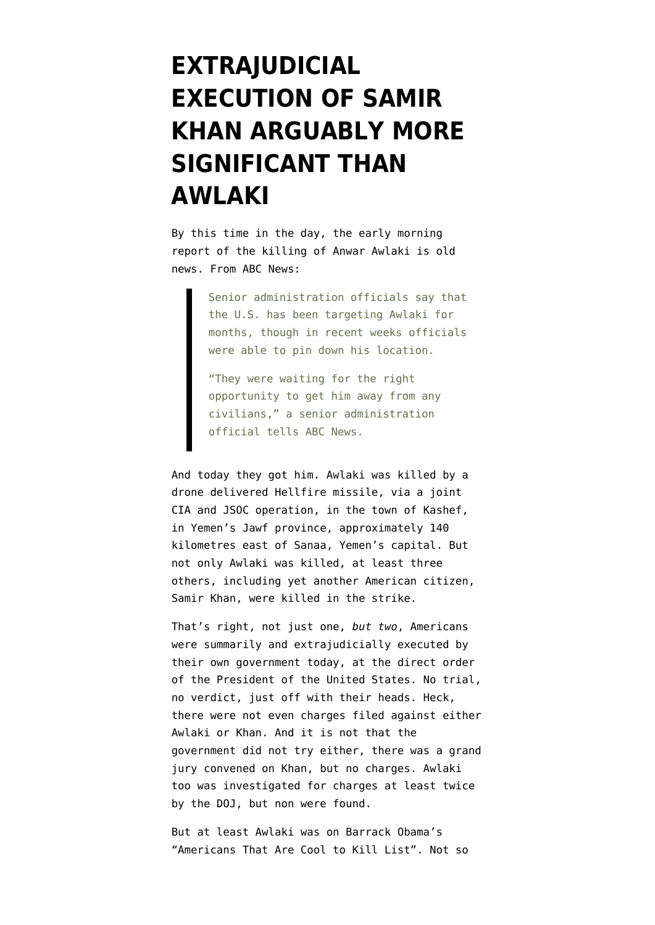## **[EXTRAJUDICIAL](https://www.emptywheel.net/2011/09/30/extrajudicial-execution-of-samir-khan-arguably-more-significant-than-awlaki/) [EXECUTION OF SAMIR](https://www.emptywheel.net/2011/09/30/extrajudicial-execution-of-samir-khan-arguably-more-significant-than-awlaki/) [KHAN ARGUABLY MORE](https://www.emptywheel.net/2011/09/30/extrajudicial-execution-of-samir-khan-arguably-more-significant-than-awlaki/) [SIGNIFICANT THAN](https://www.emptywheel.net/2011/09/30/extrajudicial-execution-of-samir-khan-arguably-more-significant-than-awlaki/) [AWLAKI](https://www.emptywheel.net/2011/09/30/extrajudicial-execution-of-samir-khan-arguably-more-significant-than-awlaki/)**

By this time in the day, the early morning report of the killing of Anwar Awlaki is old news. [From ABC News](http://abcnews.go.com/blogs/politics/2011/09/officials-thought-they-might-kill-awlaki-on-911-anniversary/):

> Senior administration officials say that the U.S. has been targeting Awlaki for months, though in recent weeks officials were able to pin down his location.

"They were waiting for the right opportunity to get him away from any civilians," a senior administration official tells ABC News.

And today they got him. Awlaki was killed by a drone delivered Hellfire missile, via a joint CIA and JSOC operation, in the town of Kashef, in Yemen's Jawf province, approximately 140 kilometres east of Sanaa, Yemen's capital. But not only Awlaki was killed, at least three others, including yet another [American citizen,](http://abcnews.go.com/Blotter/american-jihadi-samir-khan-killed-awlaki/story?id=14640013) [Samir Khan,](http://abcnews.go.com/Blotter/american-jihadi-samir-khan-killed-awlaki/story?id=14640013) were killed in the strike.

That's right, not just one, *but two*, Americans were summarily and extrajudicially executed by their own government today, at the direct order of the President of the United States. No trial, no verdict, just off with their heads. Heck, there were not even charges filed against either Awlaki or Khan. And it is not that the government did not try either, there was a [grand](http://www.npr.org/templates/story/story.php?storyId=129263809) [jury convened on Khan](http://www.npr.org/templates/story/story.php?storyId=129263809), but no charges. Awlaki too was investigated for charges [at least twice](http://hosted2.ap.org/COGRA/APWorldNews/Article_2011-09-30-ML-Yemen-Al-Awlaki-Timeline/id-f0f3249310b44f99bf4f3e7812e2d02b) by the DOJ, but non were found.

But at least Awlaki was on Barrack Obama's "Americans That Are Cool to Kill List". Not so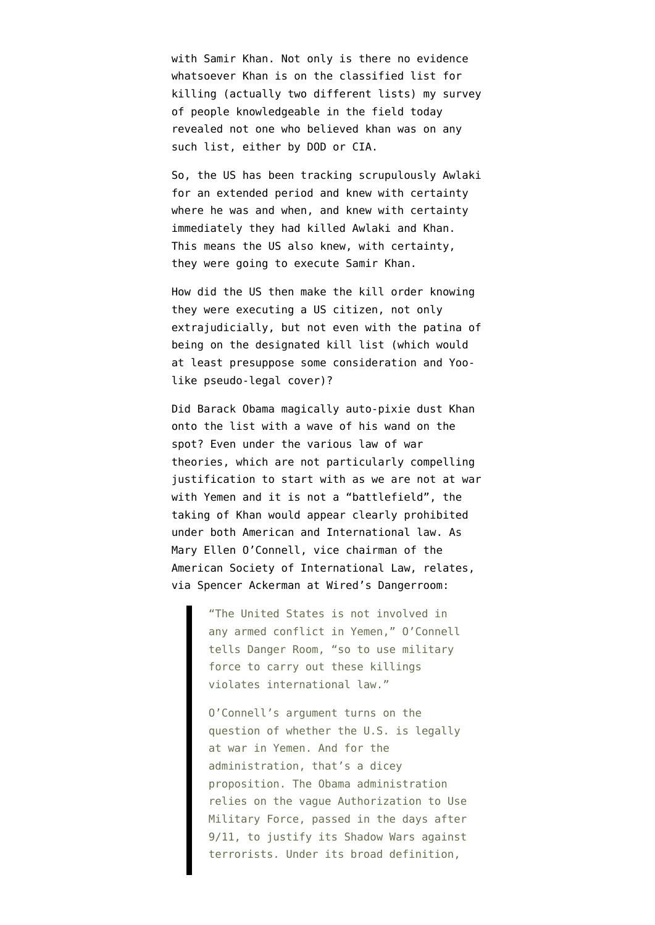with Samir Khan. Not only is there no evidence whatsoever Khan is on the [classified list for](http://emptywheel.firedoglake.com/2010/01/26/the-list-of-us-citizens-targeted-for-killing/) [killing](http://emptywheel.firedoglake.com/2010/01/26/the-list-of-us-citizens-targeted-for-killing/) (actually two different lists) my survey of people knowledgeable in the field today revealed not one who believed khan was on any such list, either by DOD or CIA.

So, the US has been tracking scrupulously Awlaki for an extended period and knew with certainty where he was and when, and knew with certainty immediately they had killed Awlaki and Khan. This means the US also knew, with certainty, they were going to execute Samir Khan.

How did the US then make the kill order knowing they were executing a US citizen, not only extrajudicially, but not even with the patina of being on the designated kill list (which would at least presuppose some consideration and Yoolike pseudo-legal cover)?

Did Barack Obama magically auto-pixie dust Khan onto the list with a wave of his wand on the spot? Even under the various law of war theories, which are not particularly compelling justification to start with as we are not at war with Yemen and it is not a "battlefield", the taking of Khan would appear clearly prohibited under both American and International law. As Mary Ellen O'Connell, vice chairman of the American Society of International Law, relates, via [Spencer Ackerman at Wired's Dangerroom](http://www.wired.com/dangerroom/2011/09/awlaki-illegal-or-legal/#more-58862):

> "The United States is not involved in any armed conflict in Yemen," O'Connell tells Danger Room, "so to use military force to carry out these killings violates international law."

O'Connell's argument turns on the question of whether the U.S. is legally at war in Yemen. And for the administration, that's a dicey proposition. The Obama administration relies on the vague Authorization to Use Military Force, passed in the days after 9/11, to justify its Shadow Wars against terrorists. Under its broad definition,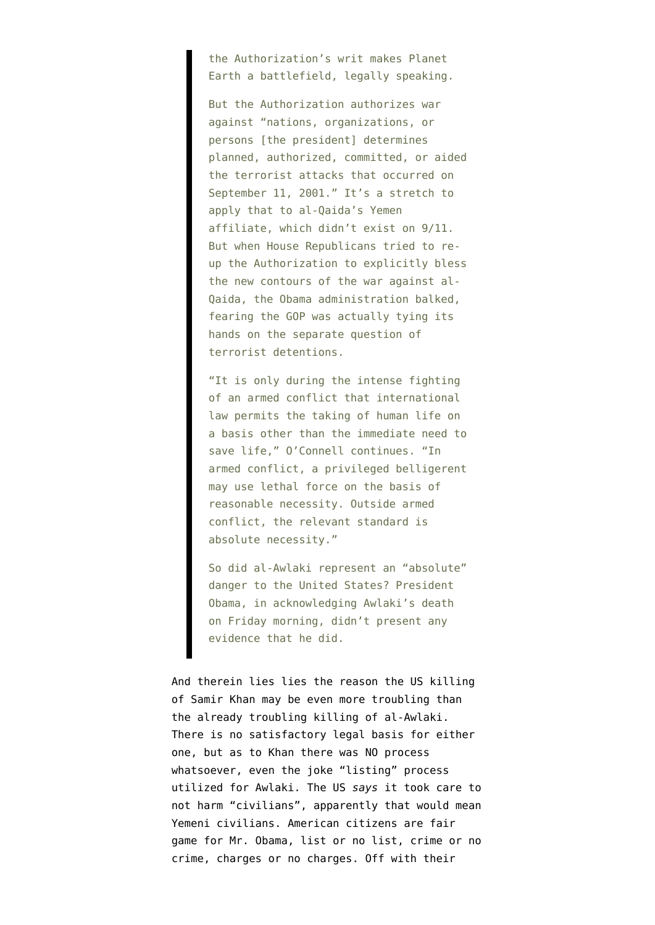the Authorization's writ makes Planet Earth a battlefield, legally speaking.

But the Authorization authorizes war against "nations, organizations, or persons [the president] determines planned, authorized, committed, or aided the terrorist attacks that occurred on September 11, 2001." It's a stretch to apply that to al-Qaida's Yemen affiliate, which didn't exist on 9/11. But when House Republicans tried to reup the Authorization to explicitly bless the new contours of the war against al-Qaida, the Obama administration balked, fearing the GOP was actually tying its hands on the separate question of terrorist detentions.

"It is only during the intense fighting of an armed conflict that international law permits the taking of human life on a basis other than the immediate need to save life," O'Connell continues. "In armed conflict, a privileged belligerent may use lethal force on the basis of reasonable necessity. Outside armed conflict, the relevant standard is absolute necessity."

So did al-Awlaki represent an "absolute" danger to the United States? President Obama, in acknowledging Awlaki's death on Friday morning, didn't present any evidence that he did.

And therein lies lies the reason the US killing of Samir Khan may be even more troubling than the already troubling killing of al-Awlaki. There is no satisfactory legal basis for either one, but as to Khan there was NO process whatsoever, even the joke "listing" process utilized for Awlaki. The US *says* it took care to not harm "civilians", apparently that would mean Yemeni civilians. American citizens are fair game for Mr. Obama, list or no list, crime or no crime, charges or no charges. Off with their